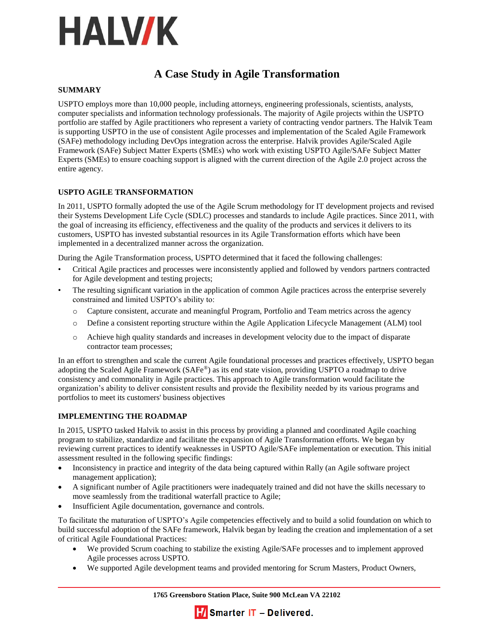

# **A Case Study in Agile Transformation**

#### **SUMMARY**

USPTO employs more than 10,000 people, including attorneys, engineering professionals, scientists, analysts, computer specialists and information technology professionals. The majority of Agile projects within the USPTO portfolio are staffed by Agile practitioners who represent a variety of contracting vendor partners. The Halvik Team is supporting USPTO in the use of consistent Agile processes and implementation of the Scaled Agile Framework (SAFe) methodology including DevOps integration across the enterprise. Halvik provides Agile/Scaled Agile Framework (SAFe) Subject Matter Experts (SMEs) who work with existing USPTO Agile/SAFe Subject Matter Experts (SMEs) to ensure coaching support is aligned with the current direction of the Agile 2.0 project across the entire agency.

## **USPTO AGILE TRANSFORMATION**

In 2011, USPTO formally adopted the use of the Agile Scrum methodology for IT development projects and revised their Systems Development Life Cycle (SDLC) processes and standards to include Agile practices. Since 2011, with the goal of increasing its efficiency, effectiveness and the quality of the products and services it delivers to its customers, USPTO has invested substantial resources in its Agile Transformation efforts which have been implemented in a decentralized manner across the organization.

During the Agile Transformation process, USPTO determined that it faced the following challenges:

- Critical Agile practices and processes were inconsistently applied and followed by vendors partners contracted for Agile development and testing projects;
- The resulting significant variation in the application of common Agile practices across the enterprise severely constrained and limited USPTO's ability to:
	- o Capture consistent, accurate and meaningful Program, Portfolio and Team metrics across the agency
	- o Define a consistent reporting structure within the Agile Application Lifecycle Management (ALM) tool
	- o Achieve high quality standards and increases in development velocity due to the impact of disparate contractor team processes;

In an effort to strengthen and scale the current Agile foundational processes and practices effectively, USPTO began adopting the Scaled Agile Framework (SAFe®) as its end state vision, providing USPTO a roadmap to drive consistency and commonality in Agile practices. This approach to Agile transformation would facilitate the organization's ability to deliver consistent results and provide the flexibility needed by its various programs and portfolios to meet its customers' business objectives

#### **IMPLEMENTING THE ROADMAP**

In 2015, USPTO tasked Halvik to assist in this process by providing a planned and coordinated Agile coaching program to stabilize, standardize and facilitate the expansion of Agile Transformation efforts. We began by reviewing current practices to identify weaknesses in USPTO Agile/SAFe implementation or execution. This initial assessment resulted in the following specific findings:

- Inconsistency in practice and integrity of the data being captured within Rally (an Agile software project management application);
- A significant number of Agile practitioners were inadequately trained and did not have the skills necessary to move seamlessly from the traditional waterfall practice to Agile;
- Insufficient Agile documentation, governance and controls.

To facilitate the maturation of USPTO's Agile competencies effectively and to build a solid foundation on which to build successful adoption of the SAFe framework, Halvik began by leading the creation and implementation of a set of critical Agile Foundational Practices:

- We provided Scrum coaching to stabilize the existing Agile/SAFe processes and to implement approved Agile processes across USPTO.
- We supported Agile development teams and provided mentoring for Scrum Masters, Product Owners,